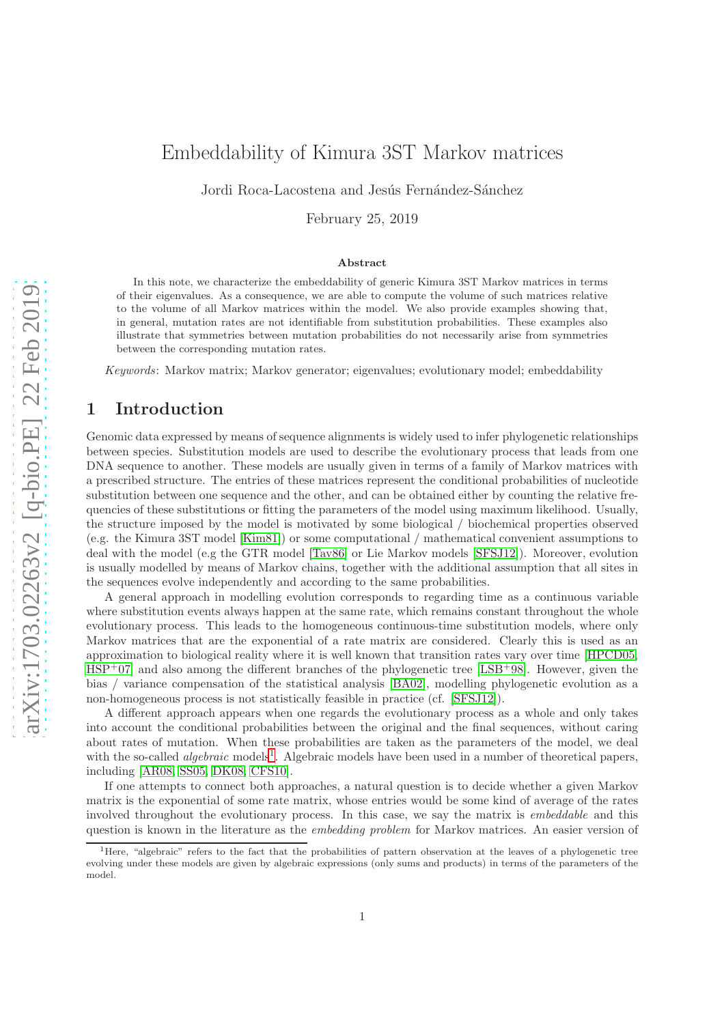# Embeddability of Kimura 3ST Markov matrices

Jordi Roca-Lacostena and Jesús Fernández-Sánchez

February 25, 2019

#### Abstract

In this note, we characterize the embeddability of generic Kimura 3ST Markov matrices in terms of their eigenvalues. As a consequence, we are able to compute the volume of such matrices relative to the volume of all Markov matrices within the model. We also provide examples showing that, in general, mutation rates are not identifiable from substitution probabilities. These examples also illustrate that symmetries between mutation probabilities do not necessarily arise from symmetries between the corresponding mutation rates.

Keywords: Markov matrix; Markov generator; eigenvalues; evolutionary model; embeddability

# 1 Introduction

Genomic data expressed by means of sequence alignments is widely used to infer phylogenetic relationships between species. Substitution models are used to describe the evolutionary process that leads from one DNA sequence to another. These models are usually given in terms of a family of Markov matrices with a prescribed structure. The entries of these matrices represent the conditional probabilities of nucleotide substitution between one sequence and the other, and can be obtained either by counting the relative frequencies of these substitutions or fitting the parameters of the model using maximum likelihood. Usually, the structure imposed by the model is motivated by some biological / biochemical properties observed (e.g. the Kimura 3ST model [\[Kim81\]](#page-12-0)) or some computational / mathematical convenient assumptions to deal with the model (e.g the GTR model [\[Tav86\]](#page-12-1) or Lie Markov models [\[SFSJ12\]](#page-12-2)). Moreover, evolution is usually modelled by means of Markov chains, together with the additional assumption that all sites in the sequences evolve independently and according to the same probabilities.

A general approach in modelling evolution corresponds to regarding time as a continuous variable where substitution events always happen at the same rate, which remains constant throughout the whole evolutionary process. This leads to the homogeneous continuous-time substitution models, where only Markov matrices that are the exponential of a rate matrix are considered. Clearly this is used as an approximation to biological reality where it is well known that transition rates vary over time [\[HPCD05,](#page-12-3)  $HSP<sup>+</sup>07$  $HSP<sup>+</sup>07$ ] and also among the different branches of the phylogenetic tree [\[LSB](#page-12-5)<sup>+</sup>98]. However, given the bias / variance compensation of the statistical analysis [\[BA02\]](#page-11-0), modelling phylogenetic evolution as a non-homogeneous process is not statistically feasible in practice (cf. [\[SFSJ12\]](#page-12-2)).

A different approach appears when one regards the evolutionary process as a whole and only takes into account the conditional probabilities between the original and the final sequences, without caring about rates of mutation. When these probabilities are taken as the parameters of the model, we deal with the so-called *algebraic* models<sup>[1](#page-0-0)</sup>. Algebraic models have been used in a number of theoretical papers, including [\[AR08,](#page-11-1) [SS05,](#page-12-6) [DK08,](#page-11-2) [CFS10\]](#page-11-3).

If one attempts to connect both approaches, a natural question is to decide whether a given Markov matrix is the exponential of some rate matrix, whose entries would be some kind of average of the rates involved throughout the evolutionary process. In this case, we say the matrix is *embeddable* and this question is known in the literature as the embedding problem for Markov matrices. An easier version of

<span id="page-0-0"></span><sup>&</sup>lt;sup>1</sup>Here, "algebraic" refers to the fact that the probabilities of pattern observation at the leaves of a phylogenetic tree evolving under these models are given by algebraic expressions (only sums and products) in terms of the parameters of the model.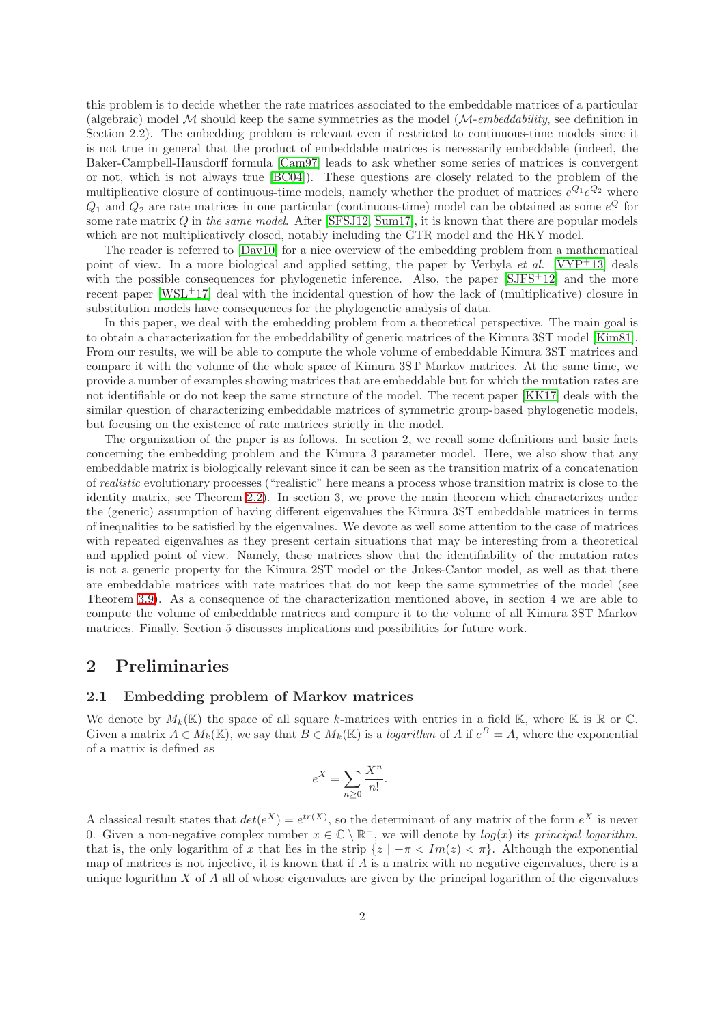this problem is to decide whether the rate matrices associated to the embeddable matrices of a particular (algebraic) model  $\mathcal M$  should keep the same symmetries as the model  $(\mathcal M\text{-}embedding,$  see definition in Section 2.2). The embedding problem is relevant even if restricted to continuous-time models since it is not true in general that the product of embeddable matrices is necessarily embeddable (indeed, the Baker-Campbell-Hausdorff formula [\[Cam97\]](#page-11-4) leads to ask whether some series of matrices is convergent or not, which is not always true [\[BC04\]](#page-11-5)). These questions are closely related to the problem of the multiplicative closure of continuous-time models, namely whether the product of matrices  $e^{Q_1}e^{Q_2}$  where  $Q_1$  and  $Q_2$  are rate matrices in one particular (continuous-time) model can be obtained as some  $e^Q$  for some rate matrix  $Q$  in the same model. After [\[SFSJ12,](#page-12-2) [Sum17\]](#page-12-7), it is known that there are popular models which are not multiplicatively closed, notably including the GTR model and the HKY model.

The reader is referred to [\[Dav10\]](#page-11-6) for a nice overview of the embedding problem from a mathematical point of view. In a more biological and applied setting, the paper by Verbyla *et al.* [\[VYP](#page-12-8)<sup>+</sup>13] deals with the possible consequences for phylogenetic inference. Also, the paper [\[SJFS](#page-12-9)+12] and the more recent paper [\[WSL](#page-12-10)<sup>+</sup>17] deal with the incidental question of how the lack of (multiplicative) closure in substitution models have consequences for the phylogenetic analysis of data.

In this paper, we deal with the embedding problem from a theoretical perspective. The main goal is to obtain a characterization for the embeddability of generic matrices of the Kimura 3ST model [\[Kim81\]](#page-12-0). From our results, we will be able to compute the whole volume of embeddable Kimura 3ST matrices and compare it with the volume of the whole space of Kimura 3ST Markov matrices. At the same time, we provide a number of examples showing matrices that are embeddable but for which the mutation rates are not identifiable or do not keep the same structure of the model. The recent paper [\[KK17\]](#page-12-11) deals with the similar question of characterizing embeddable matrices of symmetric group-based phylogenetic models, but focusing on the existence of rate matrices strictly in the model.

The organization of the paper is as follows. In section 2, we recall some definitions and basic facts concerning the embedding problem and the Kimura 3 parameter model. Here, we also show that any embeddable matrix is biologically relevant since it can be seen as the transition matrix of a concatenation of realistic evolutionary processes ("realistic" here means a process whose transition matrix is close to the identity matrix, see Theorem [2.2\)](#page-2-0). In section 3, we prove the main theorem which characterizes under the (generic) assumption of having different eigenvalues the Kimura 3ST embeddable matrices in terms of inequalities to be satisfied by the eigenvalues. We devote as well some attention to the case of matrices with repeated eigenvalues as they present certain situations that may be interesting from a theoretical and applied point of view. Namely, these matrices show that the identifiability of the mutation rates is not a generic property for the Kimura 2ST model or the Jukes-Cantor model, as well as that there are embeddable matrices with rate matrices that do not keep the same symmetries of the model (see Theorem 3.9). As a consequence of the characterization mentioned above, in section 4 we are able to compute the volume of embeddable matrices and compare it to the volume of all Kimura 3ST Markov matrices. Finally, Section 5 discusses implications and possibilities for future work.

### 2 Preliminaries

#### 2.1 Embedding problem of Markov matrices

We denote by  $M_k(\mathbb{K})$  the space of all square k-matrices with entries in a field  $\mathbb{K}$ , where  $\mathbb{K}$  is  $\mathbb{R}$  or  $\mathbb{C}$ . Given a matrix  $A \in M_k(\mathbb{K})$ , we say that  $B \in M_k(\mathbb{K})$  is a *logarithm* of A if  $e^B = A$ , where the exponential of a matrix is defined as

$$
e^X = \sum_{n \ge 0} \frac{X^n}{n!}.
$$

A classical result states that  $det(e^X) = e^{tr(X)}$ , so the determinant of any matrix of the form  $e^X$  is never 0. Given a non-negative complex number  $x \in \mathbb{C} \setminus \mathbb{R}^-$ , we will denote by  $log(x)$  its principal logarithm, that is, the only logarithm of x that lies in the strip  $\{z \mid -\pi < Im(z) < \pi\}$ . Although the exponential map of matrices is not injective, it is known that if  $A$  is a matrix with no negative eigenvalues, there is a unique logarithm  $X$  of  $A$  all of whose eigenvalues are given by the principal logarithm of the eigenvalues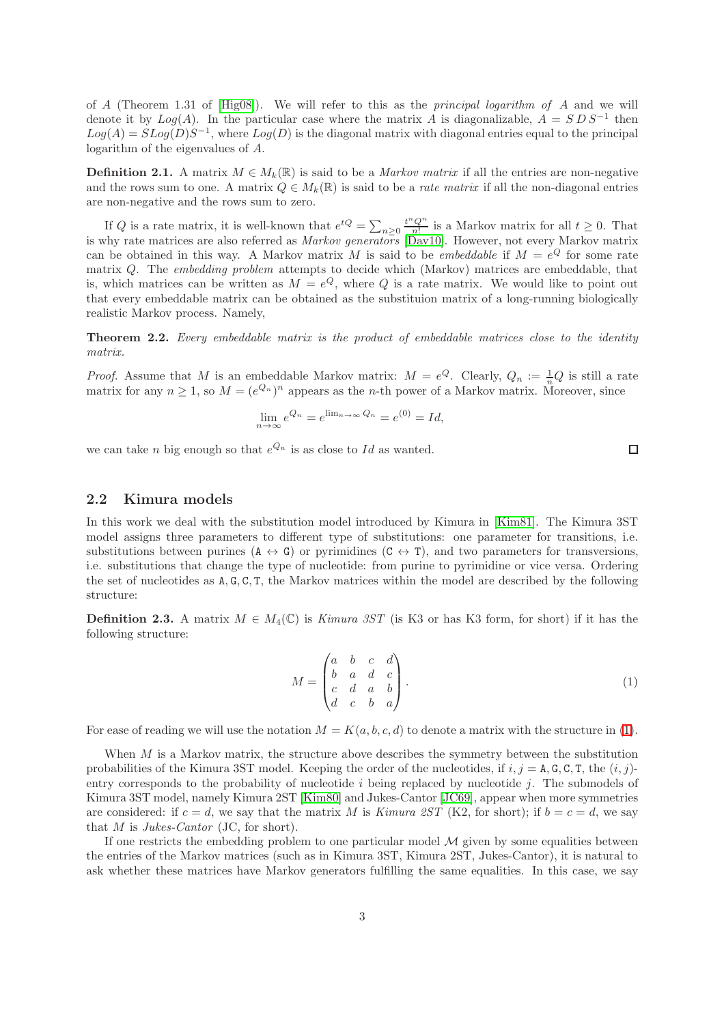of A (Theorem 1.31 of  $[Hig08]$ ). We will refer to this as the *principal logarithm of A* and we will denote it by  $Log(A)$ . In the particular case where the matrix A is diagonalizable,  $A = SDS^{-1}$  then  $Log(A) = SLog(D)S^{-1}$ , where  $Log(D)$  is the diagonal matrix with diagonal entries equal to the principal logarithm of the eigenvalues of A.

**Definition 2.1.** A matrix  $M \in M_k(\mathbb{R})$  is said to be a *Markov matrix* if all the entries are non-negative and the rows sum to one. A matrix  $Q \in M_k(\mathbb{R})$  is said to be a *rate matrix* if all the non-diagonal entries are non-negative and the rows sum to zero.

If Q is a rate matrix, it is well-known that  $e^{tQ} = \sum_{n\geq 0} \frac{t^n Q^n}{n!}$  is a Markov matrix for all  $t \geq 0$ . That is why rate matrices are also referred as *Markov generators* [\[Dav10\]](#page-11-6). However, not every Markov matrix can be obtained in this way. A Markov matrix M is said to be *embeddable* if  $M = e^{Q}$  for some rate matrix Q. The embedding problem attempts to decide which (Markov) matrices are embeddable, that is, which matrices can be written as  $M = e^{Q}$ , where Q is a rate matrix. We would like to point out that every embeddable matrix can be obtained as the substituion matrix of a long-running biologically realistic Markov process. Namely,

<span id="page-2-0"></span>**Theorem 2.2.** Every embeddable matrix is the product of embeddable matrices close to the identity matrix.

*Proof.* Assume that M is an embeddable Markov matrix:  $M = e^Q$ . Clearly,  $Q_n := \frac{1}{n}Q$  is still a rate matrix for any  $n \geq 1$ , so  $M = (e^{Q_n})^n$  appears as the *n*-th power of a Markov matrix. Moreover, since

$$
\lim_{n \to \infty} e^{Q_n} = e^{\lim_{n \to \infty} Q_n} = e^{(0)} = Id,
$$

we can take *n* big enough so that  $e^{Q_n}$  is as close to Id as wanted.

### 2.2 Kimura models

In this work we deal with the substitution model introduced by Kimura in [\[Kim81\]](#page-12-0). The Kimura 3ST model assigns three parameters to different type of substitutions: one parameter for transitions, i.e. substitutions between purines  $(A \leftrightarrow G)$  or pyrimidines  $(C \leftrightarrow T)$ , and two parameters for transversions, i.e. substitutions that change the type of nucleotide: from purine to pyrimidine or vice versa. Ordering the set of nucleotides as A, G, C, T, the Markov matrices within the model are described by the following structure:

**Definition 2.3.** A matrix  $M \in M_4(\mathbb{C})$  is *Kimura 3ST* (is K3 or has K3 form, for short) if it has the following structure:

<span id="page-2-1"></span>
$$
M = \begin{pmatrix} a & b & c & d \\ b & a & d & c \\ c & d & a & b \\ d & c & b & a \end{pmatrix}.
$$
 (1)

For ease of reading we will use the notation  $M = K(a, b, c, d)$  to denote a matrix with the structure in [\(1\)](#page-2-1).

When  $M$  is a Markov matrix, the structure above describes the symmetry between the substitution probabilities of the Kimura 3ST model. Keeping the order of the nucleotides, if  $i, j = \text{A}, \text{G}, \text{C}, \text{T}$ , the  $(i, j)$ entry corresponds to the probability of nucleotide  $i$  being replaced by nucleotide  $j$ . The submodels of Kimura 3ST model, namely Kimura 2ST [\[Kim80\]](#page-12-12) and Jukes-Cantor [\[JC69\]](#page-12-13), appear when more symmetries are considered: if  $c = d$ , we say that the matrix M is Kimura 2ST (K2, for short); if  $b = c = d$ , we say that  $M$  is Jukes-Cantor (JC, for short).

If one restricts the embedding problem to one particular model  $M$  given by some equalities between the entries of the Markov matrices (such as in Kimura 3ST, Kimura 2ST, Jukes-Cantor), it is natural to ask whether these matrices have Markov generators fulfilling the same equalities. In this case, we say

 $\Box$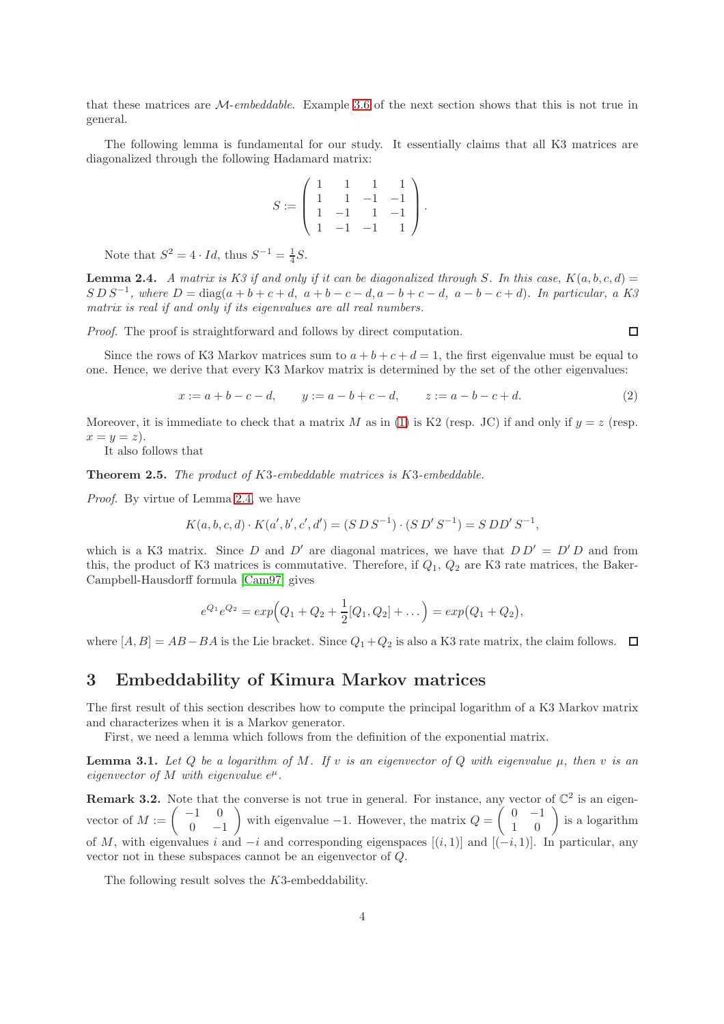that these matrices are M-embeddable. Example [3.6](#page-5-0) of the next section shows that this is not true in general.

The following lemma is fundamental for our study. It essentially claims that all K3 matrices are diagonalized through the following Hadamard matrix:

$$
S := \left( \begin{array}{rrrr} 1 & 1 & 1 & 1 \\ 1 & 1 & -1 & -1 \\ 1 & -1 & 1 & -1 \\ 1 & -1 & -1 & 1 \end{array} \right).
$$

Note that  $S^2 = 4 \cdot Id$ , thus  $S^{-1} = \frac{1}{4}S$ .

<span id="page-3-0"></span>**Lemma 2.4.** A matrix is K3 if and only if it can be diagonalized through S. In this case,  $K(a, b, c, d) =$  $S\,D\,S^{-1}$ , where  $D = \text{diag}(a+b+c+d, a+b-c-d, a-b+c-d, a-b-c+d)$ . In particular, a K3 matrix is real if and only if its eigenvalues are all real numbers.

Proof. The proof is straightforward and follows by direct computation.

 $\Box$ 

Since the rows of K3 Markov matrices sum to  $a + b + c + d = 1$ , the first eigenvalue must be equal to one. Hence, we derive that every K3 Markov matrix is determined by the set of the other eigenvalues:

<span id="page-3-3"></span>
$$
x := a + b - c - d, \qquad y := a - b + c - d, \qquad z := a - b - c + d. \tag{2}
$$

Moreover, it is immediate to check that a matrix M as in [\(1\)](#page-2-1) is K2 (resp. JC) if and only if  $y = z$  (resp.  $x=y=z$ ).

It also follows that

<span id="page-3-2"></span>Theorem 2.5. The product of K3-embeddable matrices is K3-embeddable.

Proof. By virtue of Lemma [2.4,](#page-3-0) we have

$$
K(a, b, c, d) \cdot K(a', b', c', d') = (S \, D \, S^{-1}) \cdot (S \, D' \, S^{-1}) = S \, D D' \, S^{-1},
$$

which is a K3 matrix. Since D and D' are diagonal matrices, we have that  $D D' = D' D$  and from this, the product of K3 matrices is commutative. Therefore, if  $Q_1$ ,  $Q_2$  are K3 rate matrices, the Baker-Campbell-Hausdorff formula [\[Cam97\]](#page-11-4) gives

$$
e^{Q_1}e^{Q_2} = exp(Q_1 + Q_2 + \frac{1}{2}[Q_1, Q_2] + \dots) = exp(Q_1 + Q_2),
$$

where  $[A, B] = AB - BA$  is the Lie bracket. Since  $Q_1 + Q_2$  is also a K3 rate matrix, the claim follows.  $\square$ 

# 3 Embeddability of Kimura Markov matrices

The first result of this section describes how to compute the principal logarithm of a K3 Markov matrix and characterizes when it is a Markov generator.

First, we need a lemma which follows from the definition of the exponential matrix.

<span id="page-3-1"></span>**Lemma 3.1.** Let Q be a logarithm of M. If v is an eigenvector of Q with eigenvalue  $\mu$ , then v is an eigenvector of M with eigenvalue  $e^{\mu}$ .

**Remark 3.2.** Note that the converse is not true in general. For instance, any vector of  $\mathbb{C}^2$  is an eigenvector of  $M := \begin{pmatrix} -1 & 0 \\ 0 & 0 \end{pmatrix}$ 0 −1 ) with eigenvalue −1. However, the matrix  $Q = \begin{pmatrix} 0 & -1 \\ 1 & 0 \end{pmatrix}$  is a logarithm of M, with eigenvalues i and  $-i$  and corresponding eigenspaces  $[(i, 1)]$  and  $[(-i, 1)]$ . In particular, any vector not in these subspaces cannot be an eigenvector of Q.

The following result solves the K3-embeddability.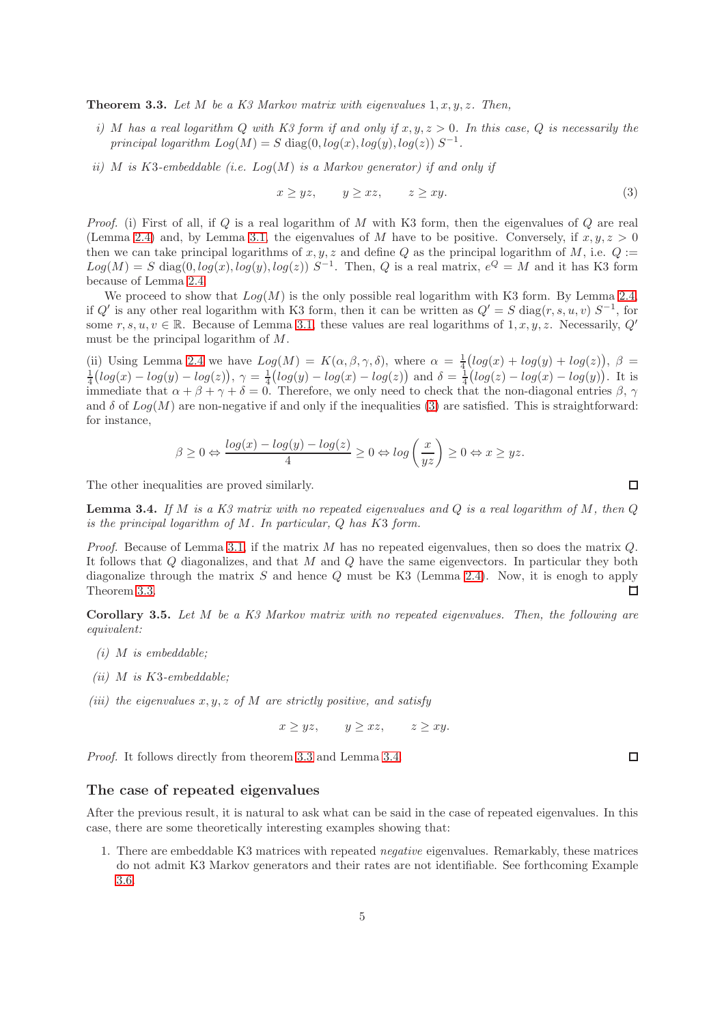<span id="page-4-1"></span>**Theorem 3.3.** Let M be a K3 Markov matrix with eigenvalues  $1, x, y, z$ . Then,

- i) M has a real logarithm Q with K3 form if and only if  $x, y, z > 0$ . In this case, Q is necessarily the principal logarithm  $Log(M) = S diag(0, log(x), log(y), log(z)) S^{-1}$ .
- ii) M is K3-embeddable (i.e.  $Log(M)$  is a Markov generator) if and only if

<span id="page-4-0"></span>
$$
x \ge yz, \qquad y \ge xz, \qquad z \ge xy. \tag{3}
$$

*Proof.* (i) First of all, if  $Q$  is a real logarithm of  $M$  with K3 form, then the eigenvalues of  $Q$  are real (Lemma [2.4\)](#page-3-0) and, by Lemma [3.1,](#page-3-1) the eigenvalues of M have to be positive. Conversely, if  $x, y, z > 0$ then we can take principal logarithms of  $x, y, z$  and define Q as the principal logarithm of M, i.e.  $Q :=$  $Log(M) = S \text{ diag}(0, log(x), log(y), log(z)) S^{-1}$ . Then, Q is a real matrix,  $e^{Q} = M$  and it has K3 form because of Lemma [2.4.](#page-3-0)

We proceed to show that  $Log(M)$  is the only possible real logarithm with K3 form. By Lemma [2.4,](#page-3-0) if Q' is any other real logarithm with K3 form, then it can be written as  $Q' = S \text{ diag}(r, s, u, v) S^{-1}$ , for some  $r, s, u, v \in \mathbb{R}$ . Because of Lemma [3.1,](#page-3-1) these values are real logarithms of  $1, x, y, z$ . Necessarily,  $Q'$ must be the principal logarithm of M.

(ii) Using Lemma [2.4](#page-3-0) we have  $Log(M) = K(\alpha, \beta, \gamma, \delta)$ , where  $\alpha = \frac{1}{4}(log(x) + log(y) + log(z))$ ,  $\beta =$  $\frac{1}{4}(\log(x) - \log(y) - \log(z)), \gamma = \frac{1}{4}(\log(y) - \log(x) - \log(z))$  and  $\delta = \frac{1}{4}(\log(z) - \log(x) - \log(y)).$  It is immediate that  $\alpha + \beta + \gamma + \delta = 0$ . Therefore, we only need to check that the non-diagonal entries  $\beta$ ,  $\gamma$ and  $\delta$  of  $Log(M)$  are non-negative if and only if the inequalities [\(3\)](#page-4-0) are satisfied. This is straightforward: for instance,

$$
\beta \ge 0 \Leftrightarrow \frac{\log(x) - \log(y) - \log(z)}{4} \ge 0 \Leftrightarrow \log\left(\frac{x}{yz}\right) \ge 0 \Leftrightarrow x \ge yz.
$$

The other inequalities are proved similarly.

<span id="page-4-2"></span>**Lemma 3.4.** If M is a K3 matrix with no repeated eigenvalues and Q is a real logarithm of M, then  $Q$ is the principal logarithm of  $M$ . In particular,  $Q$  has  $K3$  form.

*Proof.* Because of Lemma [3.1,](#page-3-1) if the matrix M has no repeated eigenvalues, then so does the matrix  $Q$ . It follows that Q diagonalizes, and that M and Q have the same eigenvectors. In particular they both diagonalize through the matrix S and hence Q must be K3 (Lemma [2.4\)](#page-3-0). Now, it is enogh to apply Theorem [3.3.](#page-4-1)  $\Box$ 

<span id="page-4-3"></span>Corollary 3.5. Let M be a K3 Markov matrix with no repeated eigenvalues. Then, the following are equivalent:

- $(i)$  M is embeddable;
- (ii)  $M$  is  $K3$ -embeddable;
- (iii) the eigenvalues  $x, y, z$  of M are strictly positive, and satisfy

 $x > yz$ ,  $y > xz$ ,  $z > xy$ .

Proof. It follows directly from theorem [3.3](#page-4-1) and Lemma [3.4.](#page-4-2)

#### The case of repeated eigenvalues

After the previous result, it is natural to ask what can be said in the case of repeated eigenvalues. In this case, there are some theoretically interesting examples showing that:

1. There are embeddable K3 matrices with repeated negative eigenvalues. Remarkably, these matrices do not admit K3 Markov generators and their rates are not identifiable. See forthcoming Example [3.6.](#page-5-0)

 $\Box$ 

 $\Box$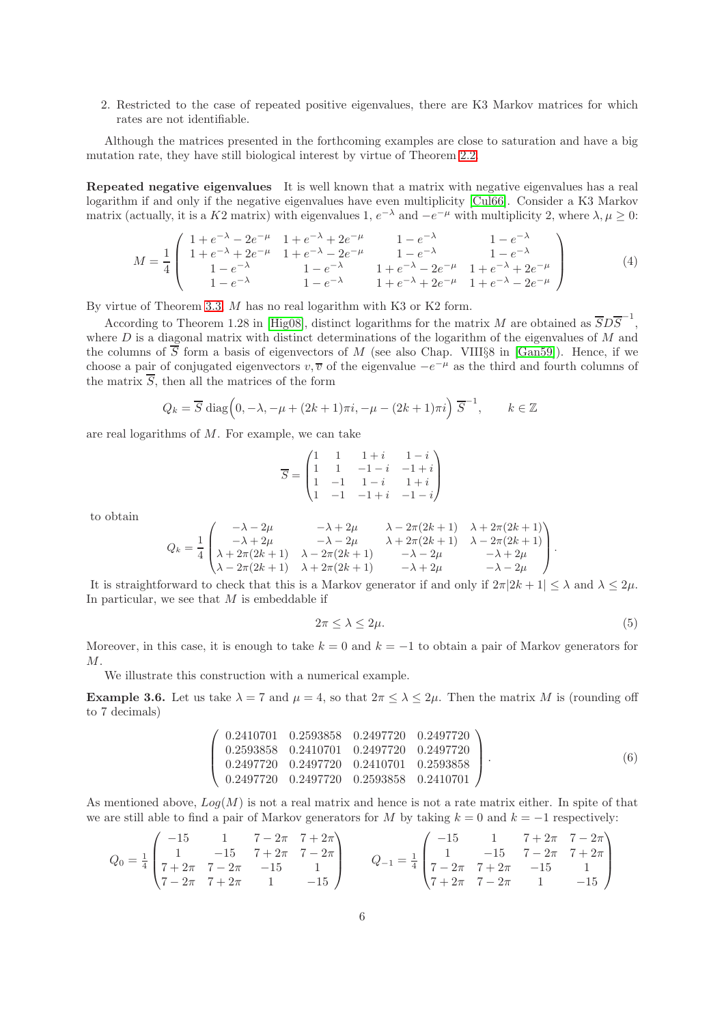2. Restricted to the case of repeated positive eigenvalues, there are K3 Markov matrices for which rates are not identifiable.

Although the matrices presented in the forthcoming examples are close to saturation and have a big mutation rate, they have still biological interest by virtue of Theorem [2.2.](#page-2-0)

Repeated negative eigenvalues It is well known that a matrix with negative eigenvalues has a real logarithm if and only if the negative eigenvalues have even multiplicity [\[Cul66\]](#page-11-8). Consider a K3 Markov matrix (actually, it is a K2 matrix) with eigenvalues 1,  $e^{-\lambda}$  and  $-e^{-\mu}$  with multiplicity 2, where  $\lambda, \mu \ge 0$ :

<span id="page-5-1"></span>
$$
M = \frac{1}{4} \begin{pmatrix} 1 + e^{-\lambda} - 2e^{-\mu} & 1 + e^{-\lambda} + 2e^{-\mu} & 1 - e^{-\lambda} & 1 - e^{-\lambda} \\ 1 + e^{-\lambda} + 2e^{-\mu} & 1 + e^{-\lambda} - 2e^{-\mu} & 1 - e^{-\lambda} & 1 - e^{-\lambda} \\ 1 - e^{-\lambda} & 1 - e^{-\lambda} & 1 + e^{-\lambda} - 2e^{-\mu} & 1 + e^{-\lambda} + 2e^{-\mu} \\ 1 - e^{-\lambda} & 1 - e^{-\lambda} & 1 + e^{-\lambda} + 2e^{-\mu} & 1 + e^{-\lambda} - 2e^{-\mu} \end{pmatrix}
$$
(4)

By virtue of Theorem [3.3,](#page-4-1) M has no real logarithm with K3 or K2 form.

According to Theorem 1.28 in [\[Hig08\]](#page-11-7), distinct logarithms for the matrix M are obtained as  $\overline{S}D\overline{S}^{-1}$ , where  $D$  is a diagonal matrix with distinct determinations of the logarithm of the eigenvalues of  $M$  and the columns of  $\overline{S}$  form a basis of eigenvectors of M (see also Chap. VIII§8 in [\[Gan59\]](#page-11-9)). Hence, if we choose a pair of conjugated eigenvectors  $v, \overline{v}$  of the eigenvalue  $-e^{-\mu}$  as the third and fourth columns of the matrix  $\overline{S}$ , then all the matrices of the form

$$
Q_k = \overline{S} \operatorname{diag}\left(0, -\lambda, -\mu + (2k+1)\pi i, -\mu - (2k+1)\pi i\right) \overline{S}^{-1}, \qquad k \in \mathbb{Z}
$$

are real logarithms of M. For example, we can take

$$
\overline{S} = \begin{pmatrix} 1 & 1 & 1+i & 1-i \\ 1 & 1 & -1-i & -1+i \\ 1 & -1 & 1-i & 1+i \\ 1 & -1 & -1+i & -1-i \end{pmatrix}
$$

to obtain

$$
Q_k = \frac{1}{4} \begin{pmatrix} -\lambda - 2\mu & -\lambda + 2\mu & \lambda - 2\pi(2k+1) & \lambda + 2\pi(2k+1) \\ -\lambda + 2\mu & -\lambda - 2\mu & \lambda + 2\pi(2k+1) & \lambda - 2\pi(2k+1) \\ \lambda + 2\pi(2k+1) & \lambda - 2\pi(2k+1) & -\lambda - 2\mu & -\lambda + 2\mu \\ \lambda - 2\pi(2k+1) & \lambda + 2\pi(2k+1) & -\lambda + 2\mu & -\lambda - 2\mu \end{pmatrix}.
$$

It is straightforward to check that this is a Markov generator if and only if  $2\pi/2k + 1 \leq \lambda$  and  $\lambda \leq 2\mu$ . In particular, we see that  $M$  is embeddable if

<span id="page-5-3"></span>
$$
2\pi \le \lambda \le 2\mu. \tag{5}
$$

Moreover, in this case, it is enough to take  $k = 0$  and  $k = -1$  to obtain a pair of Markov generators for  $M_{\odot}$ 

We illustrate this construction with a numerical example.

<span id="page-5-0"></span>**Example 3.6.** Let us take  $\lambda = 7$  and  $\mu = 4$ , so that  $2\pi \leq \lambda \leq 2\mu$ . Then the matrix M is (rounding off to 7 decimals)

<span id="page-5-2"></span>
$$
\begin{pmatrix}\n0.2410701 & 0.2593858 & 0.2497720 & 0.2497720 \\
0.2593858 & 0.2410701 & 0.2497720 & 0.2497720 \\
0.2497720 & 0.2497720 & 0.2410701 & 0.2593858 \\
0.2497720 & 0.2497720 & 0.2593858 & 0.2410701\n\end{pmatrix}.
$$
\n(6)

As mentioned above,  $Log(M)$  is not a real matrix and hence is not a rate matrix either. In spite of that we are still able to find a pair of Markov generators for M by taking  $k = 0$  and  $k = -1$  respectively:

$$
Q_0 = \frac{1}{4} \begin{pmatrix} -15 & 1 & 7 - 2\pi & 7 + 2\pi \\ 1 & -15 & 7 + 2\pi & 7 - 2\pi \\ 7 + 2\pi & 7 - 2\pi & -15 & 1 \\ 7 - 2\pi & 7 + 2\pi & 1 & -15 \end{pmatrix} \qquad Q_{-1} = \frac{1}{4} \begin{pmatrix} -15 & 1 & 7 + 2\pi & 7 - 2\pi \\ 1 & -15 & 7 - 2\pi & 7 + 2\pi \\ 7 - 2\pi & 7 + 2\pi & -15 & 1 \\ 7 + 2\pi & 7 - 2\pi & 1 & -15 \end{pmatrix}
$$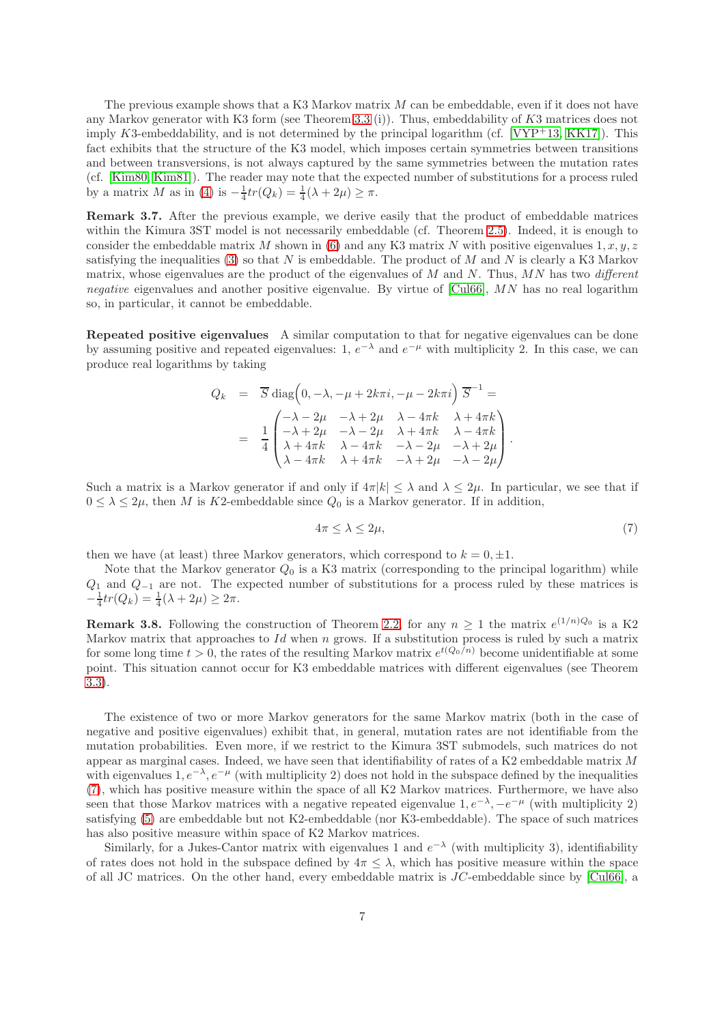The previous example shows that a K3 Markov matrix M can be embeddable, even if it does not have any Markov generator with K3 form (see Theorem [3.3](#page-4-1) (i)). Thus, embeddability of  $K3$  matrices does not imply K3-embeddability, and is not determined by the principal logarithm (cf.  $[VPT+13, KK17]$  $[VPT+13, KK17]$ ). This fact exhibits that the structure of the K3 model, which imposes certain symmetries between transitions and between transversions, is not always captured by the same symmetries between the mutation rates (cf. [\[Kim80,](#page-12-12) [Kim81\]](#page-12-0)). The reader may note that the expected number of substitutions for a process ruled by a matrix M as in [\(4\)](#page-5-1) is  $-\frac{1}{4}tr(Q_k) = \frac{1}{4}(\lambda + 2\mu) \geq \pi$ .

<span id="page-6-1"></span>Remark 3.7. After the previous example, we derive easily that the product of embeddable matrices within the Kimura 3ST model is not necessarily embeddable (cf. Theorem [2.5\)](#page-3-2). Indeed, it is enough to consider the embeddable matrix M shown in [\(6\)](#page-5-2) and any K3 matrix N with positive eigenvalues  $1, x, y, z$ satisfying the inequalities [\(3\)](#page-4-0) so that N is embeddable. The product of M and N is clearly a K3 Markov matrix, whose eigenvalues are the product of the eigenvalues of  $M$  and  $N$ . Thus,  $MN$  has two different *negative* eigenvalues and another positive eigenvalue. By virtue of [\[Cul66\]](#page-11-8),  $MN$  has no real logarithm so, in particular, it cannot be embeddable.

Repeated positive eigenvalues A similar computation to that for negative eigenvalues can be done by assuming positive and repeated eigenvalues: 1,  $e^{-\lambda}$  and  $e^{-\mu}$  with multiplicity 2. In this case, we can produce real logarithms by taking

$$
Q_k = \overline{S} \operatorname{diag}\left(0, -\lambda, -\mu + 2k\pi i, -\mu - 2k\pi i\right) \overline{S}^{-1} =
$$
  

$$
= \frac{1}{4} \begin{pmatrix} -\lambda - 2\mu & -\lambda + 2\mu & \lambda - 4\pi k & \lambda + 4\pi k \\ -\lambda + 2\mu & -\lambda - 2\mu & \lambda + 4\pi k & \lambda - 4\pi k \\ \lambda + 4\pi k & \lambda - 4\pi k & -\lambda - 2\mu & -\lambda + 2\mu \\ \lambda - 4\pi k & \lambda + 4\pi k & -\lambda + 2\mu & -\lambda - 2\mu \end{pmatrix}.
$$

Such a matrix is a Markov generator if and only if  $4\pi|k| < \lambda$  and  $\lambda < 2\mu$ . In particular, we see that if  $0 \leq \lambda \leq 2\mu$ , then M is K2-embeddable since  $Q_0$  is a Markov generator. If in addition,

<span id="page-6-0"></span>
$$
4\pi \le \lambda \le 2\mu,\tag{7}
$$

then we have (at least) three Markov generators, which correspond to  $k = 0, \pm 1$ .

Note that the Markov generator  $Q_0$  is a K3 matrix (corresponding to the principal logarithm) while  $Q_1$  and  $Q_{-1}$  are not. The expected number of substitutions for a process ruled by these matrices is  $-\frac{1}{4}tr(Q_k) = \frac{1}{4}(\lambda + 2\mu) \ge 2\pi.$ 

**Remark 3.8.** Following the construction of Theorem [2.2,](#page-2-0) for any  $n \geq 1$  the matrix  $e^{(1/n)Q_0}$  is a K2 Markov matrix that approaches to Id when n grows. If a substitution process is ruled by such a matrix for some long time  $t > 0$ , the rates of the resulting Markov matrix  $e^{t(Q_0/n)}$  become unidentifiable at some point. This situation cannot occur for K3 embeddable matrices with different eigenvalues (see Theorem [3.3\)](#page-4-1).

The existence of two or more Markov generators for the same Markov matrix (both in the case of negative and positive eigenvalues) exhibit that, in general, mutation rates are not identifiable from the mutation probabilities. Even more, if we restrict to the Kimura 3ST submodels, such matrices do not appear as marginal cases. Indeed, we have seen that identifiability of rates of a K2 embeddable matrix  $M$ with eigenvalues  $1, e^{-\lambda}, e^{-\mu}$  (with multiplicity 2) does not hold in the subspace defined by the inequalities [\(7\)](#page-6-0), which has positive measure within the space of all K2 Markov matrices. Furthermore, we have also seen that those Markov matrices with a negative repeated eigenvalue  $1, e^{-\lambda}, -e^{-\mu}$  (with multiplicity 2) satisfying [\(5\)](#page-5-3) are embeddable but not K2-embeddable (nor K3-embeddable). The space of such matrices has also positive measure within space of K2 Markov matrices.

Similarly, for a Jukes-Cantor matrix with eigenvalues 1 and  $e^{-\lambda}$  (with multiplicity 3), identifiability of rates does not hold in the subspace defined by  $4\pi \leq \lambda$ , which has positive measure within the space of all JC matrices. On the other hand, every embeddable matrix is JC-embeddable since by [\[Cul66\]](#page-11-8), a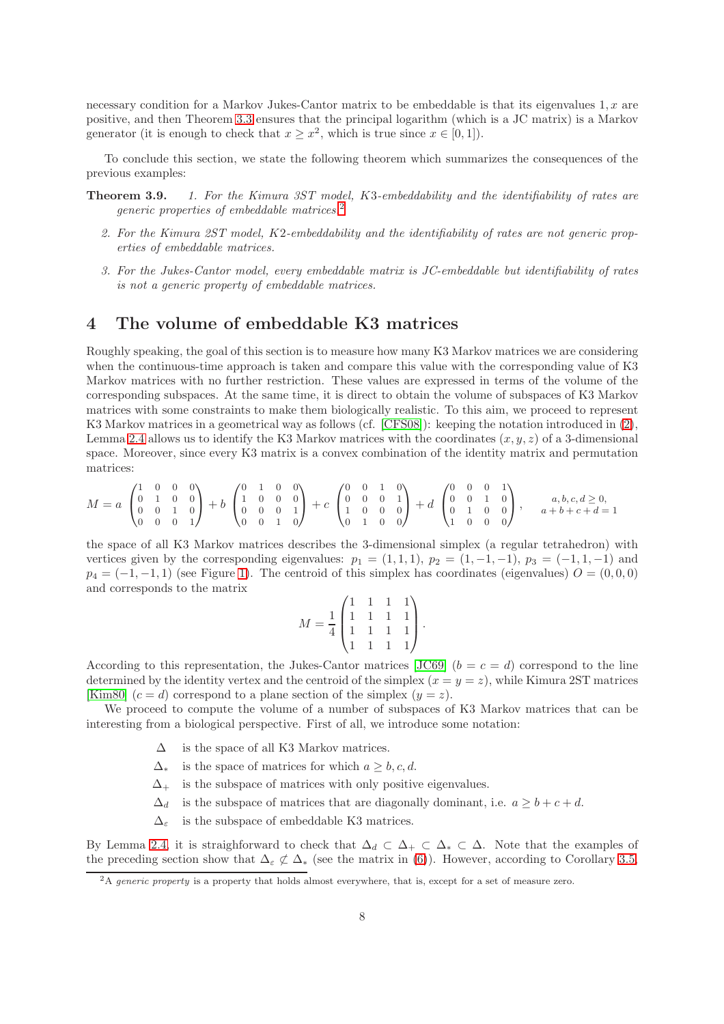necessary condition for a Markov Jukes-Cantor matrix to be embeddable is that its eigenvalues  $1, x$  are positive, and then Theorem [3.3](#page-4-1) ensures that the principal logarithm (which is a JC matrix) is a Markov generator (it is enough to check that  $x \geq x^2$ , which is true since  $x \in [0,1]$ ).

To conclude this section, we state the following theorem which summarizes the consequences of the previous examples:

Theorem 3.9. 1. For the Kimura 3ST model, K3-embeddability and the identifiability of rates are generic properties of embeddable matrices.[2](#page-7-0)

- 2. For the Kimura 2ST model, K2-embeddability and the identifiability of rates are not generic properties of embeddable matrices.
- 3. For the Jukes-Cantor model, every embeddable matrix is JC-embeddable but identifiability of rates is not a generic property of embeddable matrices.

# 4 The volume of embeddable K3 matrices

Roughly speaking, the goal of this section is to measure how many K3 Markov matrices we are considering when the continuous-time approach is taken and compare this value with the corresponding value of K3 Markov matrices with no further restriction. These values are expressed in terms of the volume of the corresponding subspaces. At the same time, it is direct to obtain the volume of subspaces of K3 Markov matrices with some constraints to make them biologically realistic. To this aim, we proceed to represent K3 Markov matrices in a geometrical way as follows (cf. [\[CFS08\]](#page-11-10)): keeping the notation introduced in [\(2\)](#page-3-3), Lemma [2.4](#page-3-0) allows us to identify the K3 Markov matrices with the coordinates  $(x, y, z)$  of a 3-dimensional space. Moreover, since every K3 matrix is a convex combination of the identity matrix and permutation matrices:

$$
M = a \begin{pmatrix} 1 & 0 & 0 & 0 \\ 0 & 1 & 0 & 0 \\ 0 & 0 & 1 & 0 \\ 0 & 0 & 0 & 1 \end{pmatrix} + b \begin{pmatrix} 0 & 1 & 0 & 0 \\ 1 & 0 & 0 & 0 \\ 0 & 0 & 0 & 1 \\ 0 & 0 & 1 & 0 \end{pmatrix} + c \begin{pmatrix} 0 & 0 & 1 & 0 \\ 0 & 0 & 0 & 1 \\ 1 & 0 & 0 & 0 \\ 0 & 1 & 0 & 0 \end{pmatrix} + d \begin{pmatrix} 0 & 0 & 0 & 1 \\ 0 & 0 & 1 & 0 \\ 0 & 1 & 0 & 0 \\ 1 & 0 & 0 & 0 \end{pmatrix}, \quad a, b, c, d \ge 0,
$$

the space of all K3 Markov matrices describes the 3-dimensional simplex (a regular tetrahedron) with vertices given by the corresponding eigenvalues:  $p_1 = (1, 1, 1)$ ,  $p_2 = (1, -1, -1)$ ,  $p_3 = (-1, 1, -1)$  and  $p_4 = (-1, -1, 1)$  $p_4 = (-1, -1, 1)$  (see Figure 1). The centroid of this simplex has coordinates (eigenvalues)  $O = (0, 0, 0)$ and corresponds to the matrix

$$
M = \frac{1}{4} \begin{pmatrix} 1 & 1 & 1 & 1 \\ 1 & 1 & 1 & 1 \\ 1 & 1 & 1 & 1 \\ 1 & 1 & 1 & 1 \end{pmatrix}.
$$

According to this representation, the Jukes-Cantor matrices [\[JC69\]](#page-12-13)  $(b = c = d)$  correspond to the line determined by the identity vertex and the centroid of the simplex  $(x = y = z)$ , while Kimura 2ST matrices [\[Kim80\]](#page-12-12)  $(c = d)$  correspond to a plane section of the simplex  $(y = z)$ .

We proceed to compute the volume of a number of subspaces of K3 Markov matrices that can be interesting from a biological perspective. First of all, we introduce some notation:

- $\Delta$  is the space of all K3 Markov matrices.
- $\Delta^*$  is the space of matrices for which  $a > b, c, d$ .
- $\Delta_{+}$  is the subspace of matrices with only positive eigenvalues.
- $\Delta_d$  is the subspace of matrices that are diagonally dominant, i.e.  $a > b + c + d$ .
- $\Delta_{\varepsilon}$  is the subspace of embeddable K3 matrices.

By Lemma [2.4,](#page-3-0) it is straighforward to check that  $\Delta_d \subset \Delta_+ \subset \Delta_* \subset \Delta$ . Note that the examples of the preceding section show that  $\Delta_{\varepsilon} \not\subset \Delta_*$  (see the matrix in [\(6\)](#page-5-2)). However, according to Corollary [3.5,](#page-4-3)

<span id="page-7-0"></span><sup>&</sup>lt;sup>2</sup>A generic property is a property that holds almost everywhere, that is, except for a set of measure zero.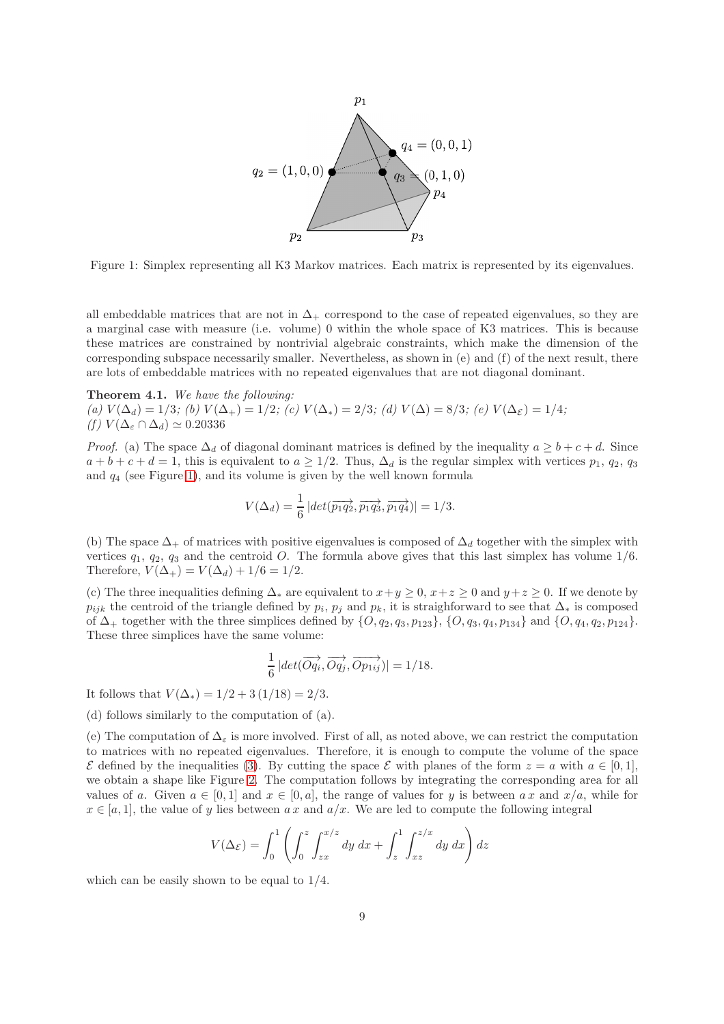

<span id="page-8-0"></span>Figure 1: Simplex representing all K3 Markov matrices. Each matrix is represented by its eigenvalues.

all embeddable matrices that are not in  $\Delta_+$  correspond to the case of repeated eigenvalues, so they are a marginal case with measure (i.e. volume) 0 within the whole space of K3 matrices. This is because these matrices are constrained by nontrivial algebraic constraints, which make the dimension of the corresponding subspace necessarily smaller. Nevertheless, as shown in (e) and (f) of the next result, there are lots of embeddable matrices with no repeated eigenvalues that are not diagonal dominant.

#### <span id="page-8-1"></span>Theorem 4.1. We have the following:

(a)  $V(\Delta_d) = 1/3$ ; (b)  $V(\Delta_+) = 1/2$ ; (c)  $V(\Delta_*) = 2/3$ ; (d)  $V(\Delta) = 8/3$ ; (e)  $V(\Delta_{\mathcal{E}}) = 1/4$ ; (f)  $V(\Delta_{\varepsilon} \cap \Delta_d) \simeq 0.20336$ 

*Proof.* (a) The space  $\Delta_d$  of diagonal dominant matrices is defined by the inequality  $a \geq b + c + d$ . Since  $a + b + c + d = 1$ , this is equivalent to  $a \geq 1/2$ . Thus,  $\Delta_d$  is the regular simplex with vertices  $p_1, q_2, q_3$ and  $q_4$  (see Figure [1\)](#page-8-0), and its volume is given by the well known formula

$$
V(\Delta_d) = \frac{1}{6} |det(\overrightarrow{p_1q_2}, \overrightarrow{p_1q_3}, \overrightarrow{p_1q_4})| = 1/3.
$$

(b) The space  $\Delta_+$  of matrices with positive eigenvalues is composed of  $\Delta_d$  together with the simplex with vertices  $q_1, q_2, q_3$  and the centroid O. The formula above gives that this last simplex has volume  $1/6$ . Therefore,  $V(\Delta_+) = V(\Delta_d) + 1/6 = 1/2$ .

(c) The three inequalities defining  $\Delta_*$  are equivalent to  $x+y \geq 0$ ,  $x+z \geq 0$  and  $y+z \geq 0$ . If we denote by  $p_{ijk}$  the centroid of the triangle defined by  $p_i$ ,  $p_j$  and  $p_k$ , it is straighforward to see that  $\Delta_*$  is composed of  $\Delta_+$  together with the three simplices defined by  $\{O, q_2, q_3, p_{123}\}, \{O, q_3, q_4, p_{134}\}$  and  $\{O, q_4, q_2, p_{124}\}.$ These three simplices have the same volume:

$$
\frac{1}{6} |det(\overrightarrow{Oq_i}, \overrightarrow{Oq_j}, \overrightarrow{Op_{1ij}})| = 1/18.
$$

It follows that  $V(\Delta_*) = 1/2 + 3(1/18) = 2/3$ .

(d) follows similarly to the computation of (a).

(e) The computation of  $\Delta_{\varepsilon}$  is more involved. First of all, as noted above, we can restrict the computation to matrices with no repeated eigenvalues. Therefore, it is enough to compute the volume of the space  $\mathcal E$  defined by the inequalities [\(3\)](#page-4-0). By cutting the space  $\mathcal E$  with planes of the form  $z = a$  with  $a \in [0,1]$ , we obtain a shape like Figure [2.](#page-9-0) The computation follows by integrating the corresponding area for all values of a. Given  $a \in [0, 1]$  and  $x \in [0, a]$ , the range of values for y is between  $ax$  and  $x/a$ , while for  $x \in [a, 1]$ , the value of y lies between a x and  $a/x$ . We are led to compute the following integral

$$
V(\Delta \varepsilon) = \int_0^1 \left( \int_0^z \int_{zx}^{x/z} dy dx + \int_z^1 \int_{xz}^{z/x} dy dx \right) dz
$$

which can be easily shown to be equal to 1/4.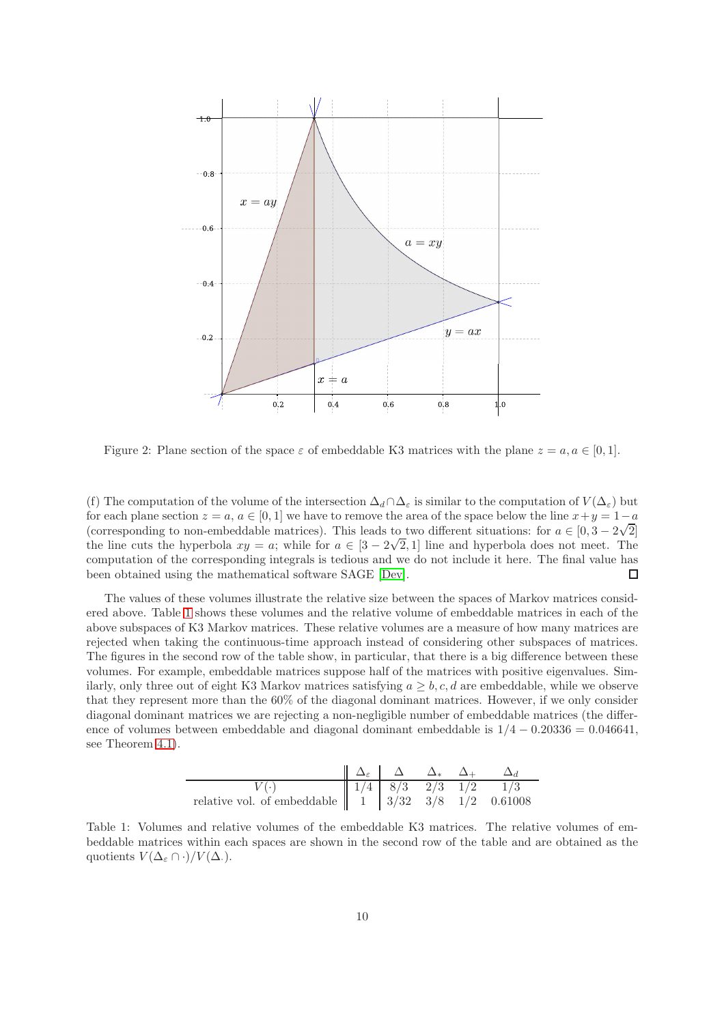

<span id="page-9-0"></span>Figure 2: Plane section of the space  $\varepsilon$  of embeddable K3 matrices with the plane  $z = a, a \in [0, 1]$ .

(f) The computation of the volume of the intersection  $\Delta_d \cap \Delta_{\varepsilon}$  is similar to the computation of  $V(\Delta_{\varepsilon})$  but for each plane section  $z = a, a \in [0, 1]$  we have to remove the area of the space below the line  $x + y = 1 - a$ (corresponding to non-embeddable matrices). This leads to two different situations: for  $a \in [0, 3 - 2\sqrt{2}]$ the line cuts the hyperbola  $xy = a$ ; while for  $a \in [3 - 2\sqrt{2}, 1]$  line and hyperbola does not meet. The computation of the corresponding integrals is tedious and we do not include it here. The final value has been obtained using the mathematical software SAGE [\[Dev\]](#page-11-11).  $\Box$ 

The values of these volumes illustrate the relative size between the spaces of Markov matrices considered above. Table [1](#page-9-1) shows these volumes and the relative volume of embeddable matrices in each of the above subspaces of K3 Markov matrices. These relative volumes are a measure of how many matrices are rejected when taking the continuous-time approach instead of considering other subspaces of matrices. The figures in the second row of the table show, in particular, that there is a big difference between these volumes. For example, embeddable matrices suppose half of the matrices with positive eigenvalues. Similarly, only three out of eight K3 Markov matrices satisfying  $a > b, c, d$  are embeddable, while we observe that they represent more than the 60% of the diagonal dominant matrices. However, if we only consider diagonal dominant matrices we are rejecting a non-negligible number of embeddable matrices (the difference of volumes between embeddable and diagonal dominant embeddable is  $1/4 - 0.20336 = 0.046641$ , see Theorem [4.1\)](#page-8-1).

| $\Delta_{\varepsilon}$ | $\Delta$ | $\Delta_{*}$ | $\Delta_{+}$ | $\Delta_{d}$ |     |
|------------------------|----------|--------------|--------------|--------------|-----|
| $V(\cdot)$             | 1/4      | 8/3          | 2/3          | 1/2          | 1/3 |

\nrelative vol. of embeddable

\n

| 1 | 3/32 | 3/8 | 1/2 | 0.61008 |
|---|------|-----|-----|---------|
|---|------|-----|-----|---------|

<span id="page-9-1"></span>Table 1: Volumes and relative volumes of the embeddable K3 matrices. The relative volumes of embeddable matrices within each spaces are shown in the second row of the table and are obtained as the quotients  $V(\Delta_{\varepsilon} \cap \cdot)/V(\Delta_{\cdot}).$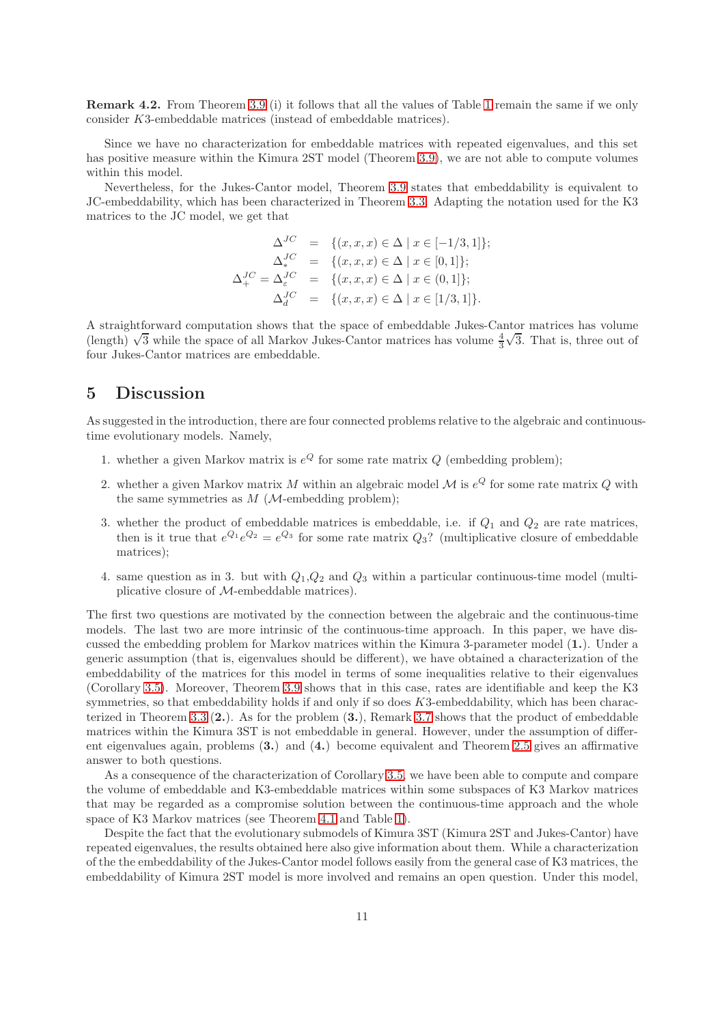Remark 4.2. From Theorem 3.9 (i) it follows that all the values of Table [1](#page-9-1) remain the same if we only consider K3-embeddable matrices (instead of embeddable matrices).

Since we have no characterization for embeddable matrices with repeated eigenvalues, and this set has positive measure within the Kimura 2ST model (Theorem 3.9), we are not able to compute volumes within this model.

Nevertheless, for the Jukes-Cantor model, Theorem 3.9 states that embeddability is equivalent to JC-embeddability, which has been characterized in Theorem [3.3.](#page-4-1) Adapting the notation used for the K3 matrices to the JC model, we get that

$$
\Delta^{JC} = \{ (x, x, x) \in \Delta \mid x \in [-1/3, 1] \};
$$
  
\n
$$
\Delta^{JC}_{*} = \{ (x, x, x) \in \Delta \mid x \in [0, 1] \};
$$
  
\n
$$
\Delta^{JC}_{+} = \Delta^{JC}_{\epsilon} = \{ (x, x, x) \in \Delta \mid x \in (0, 1] \};
$$
  
\n
$$
\Delta^{JC}_{d} = \{ (x, x, x) \in \Delta \mid x \in [1/3, 1] \}.
$$

A straightforward computation shows that the space of embeddable Jukes-Cantor matrices has volume (length)  $\sqrt{3}$  while the space of all Markov Jukes-Cantor matrices has volume  $\frac{4}{3}\sqrt{3}$ . That is, three out of four Jukes-Cantor matrices are embeddable.

# 5 Discussion

As suggested in the introduction, there are four connected problems relative to the algebraic and continuoustime evolutionary models. Namely,

- 1. whether a given Markov matrix is  $e^{Q}$  for some rate matrix  $Q$  (embedding problem);
- 2. whether a given Markov matrix M within an algebraic model  $\mathcal M$  is  $e^Q$  for some rate matrix Q with the same symmetries as  $M$  ( $M$ -embedding problem);
- 3. whether the product of embeddable matrices is embeddable, i.e. if  $Q_1$  and  $Q_2$  are rate matrices, then is it true that  $e^{Q_1}e^{Q_2}=e^{Q_3}$  for some rate matrix  $Q_3$ ? (multiplicative closure of embeddable matrices);
- 4. same question as in 3. but with  $Q_1,Q_2$  and  $Q_3$  within a particular continuous-time model (multiplicative closure of M-embeddable matrices).

The first two questions are motivated by the connection between the algebraic and the continuous-time models. The last two are more intrinsic of the continuous-time approach. In this paper, we have discussed the embedding problem for Markov matrices within the Kimura 3-parameter model (1.). Under a generic assumption (that is, eigenvalues should be different), we have obtained a characterization of the embeddability of the matrices for this model in terms of some inequalities relative to their eigenvalues (Corollary [3.5\)](#page-4-3). Moreover, Theorem 3.9 shows that in this case, rates are identifiable and keep the K3 symmetries, so that embeddability holds if and only if so does  $K3$ -embeddability, which has been characterized in Theorem [3.3](#page-4-1) (2.). As for the problem (3.), Remark [3.7](#page-6-1) shows that the product of embeddable matrices within the Kimura 3ST is not embeddable in general. However, under the assumption of different eigenvalues again, problems (3.) and (4.) become equivalent and Theorem [2.5](#page-3-2) gives an affirmative answer to both questions.

As a consequence of the characterization of Corollary [3.5,](#page-4-3) we have been able to compute and compare the volume of embeddable and K3-embeddable matrices within some subspaces of K3 Markov matrices that may be regarded as a compromise solution between the continuous-time approach and the whole space of K3 Markov matrices (see Theorem [4.1](#page-8-1) and Table [1\)](#page-9-1).

Despite the fact that the evolutionary submodels of Kimura 3ST (Kimura 2ST and Jukes-Cantor) have repeated eigenvalues, the results obtained here also give information about them. While a characterization of the the embeddability of the Jukes-Cantor model follows easily from the general case of K3 matrices, the embeddability of Kimura 2ST model is more involved and remains an open question. Under this model,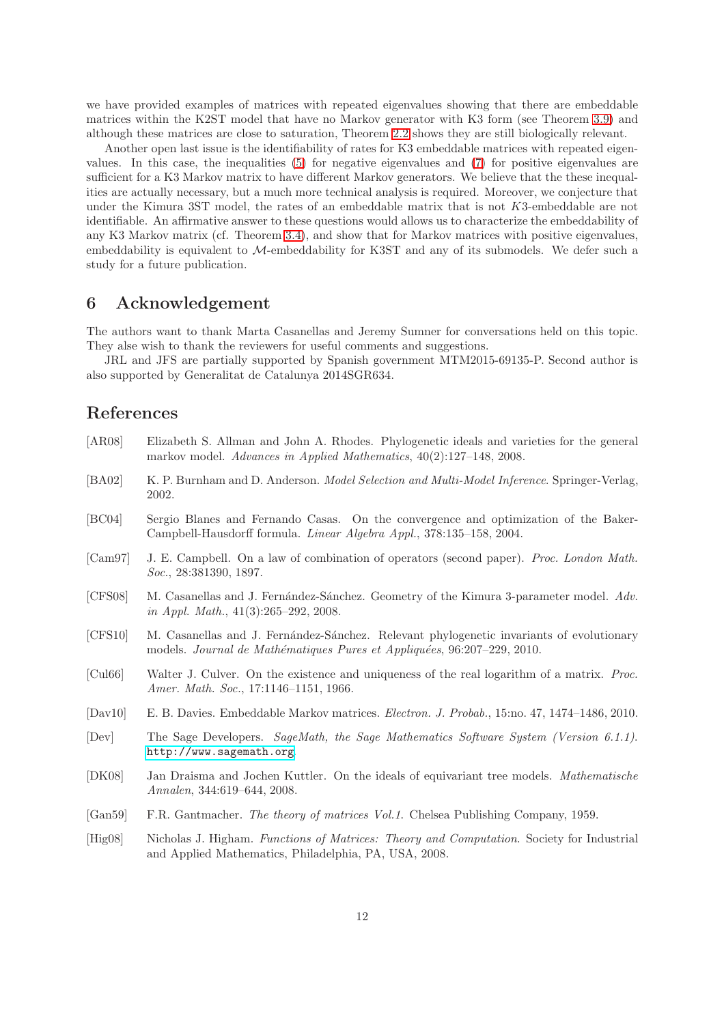we have provided examples of matrices with repeated eigenvalues showing that there are embeddable matrices within the K2ST model that have no Markov generator with K3 form (see Theorem 3.9) and although these matrices are close to saturation, Theorem [2.2](#page-2-0) shows they are still biologically relevant.

Another open last issue is the identifiability of rates for K3 embeddable matrices with repeated eigenvalues. In this case, the inequalities [\(5\)](#page-5-3) for negative eigenvalues and [\(7\)](#page-6-0) for positive eigenvalues are sufficient for a K3 Markov matrix to have different Markov generators. We believe that the these inequalities are actually necessary, but a much more technical analysis is required. Moreover, we conjecture that under the Kimura 3ST model, the rates of an embeddable matrix that is not K3-embeddable are not identifiable. An affirmative answer to these questions would allows us to characterize the embeddability of any K3 Markov matrix (cf. Theorem [3.4\)](#page-4-2), and show that for Markov matrices with positive eigenvalues, embeddability is equivalent to M-embeddability for K3ST and any of its submodels. We defer such a study for a future publication.

# 6 Acknowledgement

The authors want to thank Marta Casanellas and Jeremy Sumner for conversations held on this topic. They alse wish to thank the reviewers for useful comments and suggestions.

JRL and JFS are partially supported by Spanish government MTM2015-69135-P. Second author is also supported by Generalitat de Catalunya 2014SGR634.

# References

- <span id="page-11-1"></span>[AR08] Elizabeth S. Allman and John A. Rhodes. Phylogenetic ideals and varieties for the general markov model. Advances in Applied Mathematics, 40(2):127–148, 2008.
- <span id="page-11-0"></span>[BA02] K. P. Burnham and D. Anderson. Model Selection and Multi-Model Inference. Springer-Verlag, 2002.
- <span id="page-11-5"></span>[BC04] Sergio Blanes and Fernando Casas. On the convergence and optimization of the Baker-Campbell-Hausdorff formula. Linear Algebra Appl., 378:135–158, 2004.
- <span id="page-11-4"></span>[Cam97] J. E. Campbell. On a law of combination of operators (second paper). Proc. London Math. Soc., 28:381390, 1897.
- <span id="page-11-10"></span>[CFS08] M. Casanellas and J. Fernández-Sánchez. Geometry of the Kimura 3-parameter model. Adv. in Appl. Math., 41(3):265–292, 2008.
- <span id="page-11-3"></span>[CFS10] M. Casanellas and J. Fernández-Sánchez. Relevant phylogenetic invariants of evolutionary models. Journal de Mathématiques Pures et Appliquées, 96:207-229, 2010.
- <span id="page-11-8"></span>[Cul66] Walter J. Culver. On the existence and uniqueness of the real logarithm of a matrix. Proc. Amer. Math. Soc., 17:1146–1151, 1966.
- <span id="page-11-6"></span>[Dav10] E. B. Davies. Embeddable Markov matrices. Electron. J. Probab., 15:no. 47, 1474–1486, 2010.
- <span id="page-11-11"></span>[Dev] The Sage Developers. SageMath, the Sage Mathematics Software System (Version 6.1.1). <http://www.sagemath.org>.
- <span id="page-11-2"></span>[DK08] Jan Draisma and Jochen Kuttler. On the ideals of equivariant tree models. Mathematische Annalen, 344:619–644, 2008.
- <span id="page-11-9"></span>[Gan59] F.R. Gantmacher. The theory of matrices Vol.1. Chelsea Publishing Company, 1959.
- <span id="page-11-7"></span>[Hig08] Nicholas J. Higham. Functions of Matrices: Theory and Computation. Society for Industrial and Applied Mathematics, Philadelphia, PA, USA, 2008.